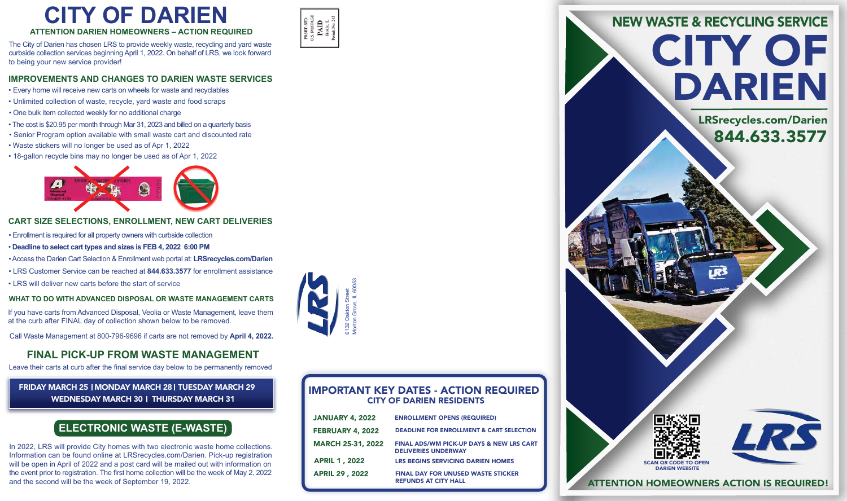

### **ATTENTION DARIEN HOMEOWNERS – ACTION REQUIRED**

The City of Darien has chosen LRS to provide weekly waste, recycling and yard waste curbside collection services beginning April 1, 2022. On behalf of LRS, we look forward to being your new service provider!

- Every home will receive new carts on wheels for waste and recyclables
- Unlimited collection of waste, recycle, yard waste and food scraps
- One bulk item collected weekly for no additional charge
- The cost is \$20.95 per month through Mar 31, 2023 and billed on a quarterly basis
- Senior Program option available with small waste cart and discounted rate
- Waste stickers will no longer be used as of Apr 1, 2022
- 18-gallon recycle bins may no longer be used as of Apr 1, 2022



# **CART SIZE SELECTIONS, ENROLLMENT, NEW CART DELIVERIES**

- Enrollment is required for all property owners with curbside collection
- • **Deadline to select cart types and sizes is FEB 4, 2022 6:00 PM**
- Access the Darien Cart Selection & Enrollment web portal at: **LRSrecycles.com/Darien**
- LRS Customer Service can be reached at **844.633.3577** for enrollment assistance
- LRS will deliver new carts before the start of service



# **CITY OF DARIEN**

# **IMPROVEMENTS AND CHANGES TO DARIEN WASTE SERVICES**

# **FINAL PICK-UP FROM WASTE MANAGEMENT**

# DARIEN CITY OF NEW WASTE & RECYCLING SERVICE

Leave their carts at curb after the final service day below to be permanently removed

# FRIDAY MARCH 25 I MONDAY MARCH 281 TUESDAY MARCH 29 WEDNESDAY MARCH 30 | THURSDAY MARCH 31

# IMPORTANT KEY DATES - ACTION REQUIRED CITY OF DARIEN RESIDENTS

ATTENTION HOMEOWNERS ACTION IS REQUIRED!

## **WHAT TO DO WITH ADVANCED DISPOSAL OR WASTE MANAGEMENT CARTS**

If you have carts from Advanced Disposal, Veolia or Waste Management, leave them at the curb after FINAL day of collection shown below to be removed.

| <b>JANUARY 4, 2022</b>   | <b>ENROLLMENT OPENS (REQUIRED)</b>                                       |
|--------------------------|--------------------------------------------------------------------------|
| <b>FEBRUARY 4, 2022</b>  | <b>DEADLINE FOR ENROLLMENT &amp; CART SELECTION</b>                      |
| <b>MARCH 25-31, 2022</b> | FINAL ADS/WM PICK-UP DAYS & NEW LRS CART<br><b>DELIVERIES UNDERWAY</b>   |
| <b>APRIL 1, 2022</b>     | <b>LRS BEGINS SERVICING DARIEN HOMES</b>                                 |
| <b>APRIL 29, 2022</b>    | <b>FINAL DAY FOR UNUSED WASTE STICKER</b><br><b>REFUNDS AT CITY HALL</b> |



In 2022, LRS will provide City homes with two electronic waste home collections. Information can be found online at LRSrecycles.com/Darien. Pick-up registration will be open in April of 2022 and a post card will be mailed out with information on the event prior to registration. The first home collection will be the week of May 2, 2022 and the second will be the week of September 19, 2022.

# **ELECTRONIC WASTE (E-WASTE)**





Call Waste Management at 800-796-9696 if carts are not removed by **April 4, 2022.**